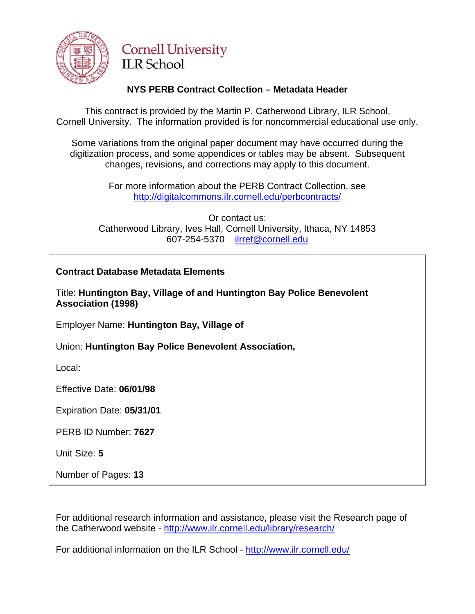

# **Cornell University ILR** School

# **NYS PERB Contract Collection – Metadata Header**

This contract is provided by the Martin P. Catherwood Library, ILR School, Cornell University. The information provided is for noncommercial educational use only.

Some variations from the original paper document may have occurred during the digitization process, and some appendices or tables may be absent. Subsequent changes, revisions, and corrections may apply to this document.

> For more information about the PERB Contract Collection, see http://digitalcommons.ilr.cornell.edu/perbcontracts/

Or contact us: Catherwood Library, Ives Hall, Cornell University, Ithaca, NY 14853 607-254-5370 [ilrref@cornell.edu](mailto:ilrref@cornell.edu)

## **Contract Database Metadata Elements**

Title: **Huntington Bay, Village of and Huntington Bay Police Benevolent Association (1998)**

Employer Name: **Huntington Bay, Village of**

Union: **Huntington Bay Police Benevolent Association,**

Local:

Effective Date: **06/01/98**

Expiration Date: **05/31/01**

PERB ID Number: **7627** 

Unit Size: **5** 

Number of Pages: **13** 

For additional research information and assistance, please visit the Research page of the Catherwood website -<http://www.ilr.cornell.edu/library/research/>

For additional information on the ILR School - <http://www.ilr.cornell.edu/>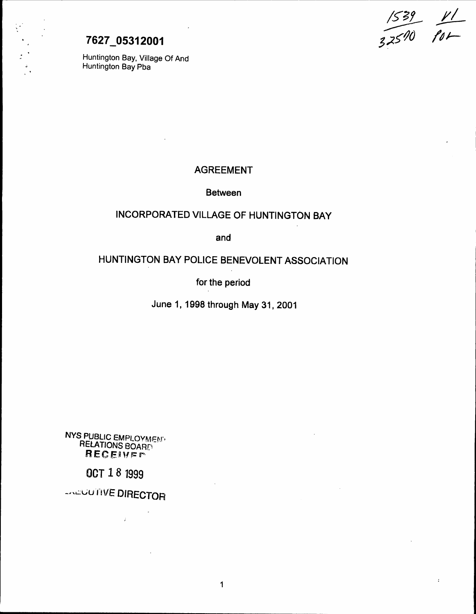$\frac{1539}{11}$ 5 ;z5'tJO *II J-*

 $\ddot{\phantom{a}}$ 

# 7627 05312001

Huntington Bay, Village Of And Huntington Bay Pba

## AGREEMENT

Between

# INCORPORATED VILLAGE OF HUNTINGTON BAY

and

# HUNTINGTON BAY POLICE BENEVOLENT ASSOCIATION

for the period

June 1, 1998 through May 31, 2001

1

NYS PUBLIC EMPLOYMENT RELATIONS BOARD RECEIVER

OCT 1 8 1999

-NEUUTIVE DIRECTOR

 $\mathcal{F}$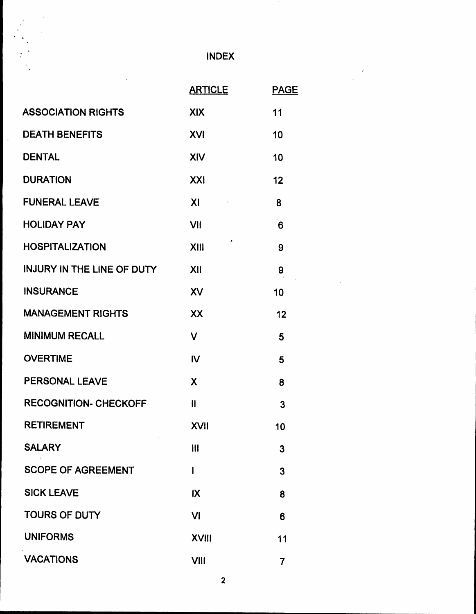INDEX'

|                                   | <b>ARTICLE</b>          | <b>PAGE</b>    |
|-----------------------------------|-------------------------|----------------|
| <b>ASSOCIATION RIGHTS</b>         | <b>XIX</b>              | 11             |
| <b>DEATH BENEFITS</b>             | <b>XVI</b>              | 10             |
| <b>DENTAL</b>                     | XIV                     | 10             |
| <b>DURATION</b>                   | XXI                     | 12             |
| <b>FUNERAL LEAVE</b>              | X <sub>l</sub>          | 8              |
| <b>HOLIDAY PAY</b>                | VII                     | 6              |
| <b>HOSPITALIZATION</b>            | ٠<br>XIII               | 9              |
| <b>INJURY IN THE LINE OF DUTY</b> | XII                     | 9              |
| <b>INSURANCE</b>                  | XV                      | 10             |
| <b>MANAGEMENT RIGHTS</b>          | XX                      | 12             |
| <b>MINIMUM RECALL</b>             | $\overline{\mathsf{V}}$ | 5              |
| <b>OVERTIME</b>                   | IV                      | 5              |
| PERSONAL LEAVE                    | X                       | 8              |
| <b>RECOGNITION- CHECKOFF</b>      | $\mathbf{I}$            | 3              |
| <b>RETIREMENT</b>                 | <b>XVII</b>             | 10             |
| <b>SALARY</b>                     | $\mathbf{III}$          | 3              |
| <b>SCOPE OF AGREEMENT</b>         | I                       | 3              |
| <b>SICK LEAVE</b>                 | IX                      | 8              |
| <b>TOURS OF DUTY</b>              | VI                      | 6              |
| <b>UNIFORMS</b>                   | <b>XVIII</b>            | 11             |
| <b>VACATIONS</b>                  | <b>VIII</b>             | $\overline{7}$ |

 $\overline{\phantom{a}}$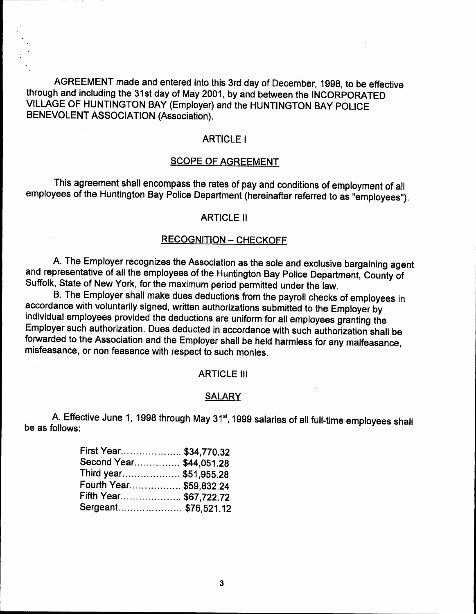

AGREEMENT made and entered into this 3rd day of December, 1998, to be effective through and including the 31st day of May 2001, by and between the INCORPORATED VILLAGE OF HUNTINGTON BAY (Employer) and the HUNTINGTON BAY POLICE BENEVOLENT ASSOCIATION (Association).

## ARTICLE I

## SCOPE OF AGREEMENT

This agreement shall encompass the rates of pay and conditions of employrnent of all employees of the Huntington Bay Police Department (hereinafter referred to as "employees").

## ARTICLE II

## RECOGNITION - CHECKOFF

A. The Employer recognizes the Association as the sole and exclusive bargaining agent and representative of all the employees of the Huntington Bay Police Department, County of Suffolk, State of New York, for the maximum period permitted under the law.

B. The Employer shall make dues deductions from the payroll checks of employees in accordance with voluntarily signed, written authorizations submitted to the.Employer by individual employees provided the deductions are uniform for all employees granting the Employer such authorization. Dues deducted in accordance with such authorization shall be forwarded to the Association and the Employer shall be held harmless for any malfeasance, misfeasance, or non feasance with respect to such monies.

#### ARTICLE III

#### SALARY

A. Effective June 1, 1998 through May 31<sup>st</sup>, 1999 salaries of all full-time employees shall be as follows:

| First Year \$34,770.32       |  |
|------------------------------|--|
| Second Year \$44,051.28      |  |
| Third year \$51,955.28       |  |
| Fourth Year \$59,832.24      |  |
| Fifth Year……………… \$67,722.72 |  |
|                              |  |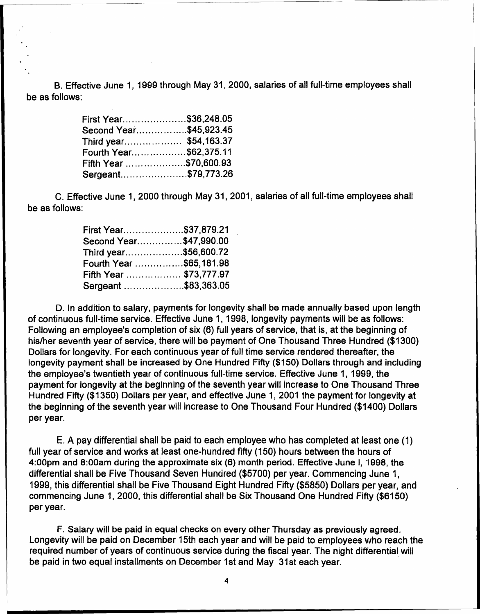B. Effective June 1, 1999 through May 31,2000, salaries of all full-time employees shall be as follows:

| First Year\$36,248.05  |  |
|------------------------|--|
| Second Year\$45,923.45 |  |
| Third year \$54,163.37 |  |
| Fourth Year\$62,375.11 |  |
| Fifth Year \$70,600.93 |  |
| Sergeant\$79,773.26    |  |

C. Effective June 1, 2000 through May 31, 2001, salaries of all full-time employees shall be as follows:

| First Year\$37,879.21   |  |
|-------------------------|--|
| Second Year\$47,990.00  |  |
| Third year\$56,600.72   |  |
| Fourth Year \$65,181.98 |  |
| Fifth Year  \$73,777.97 |  |
| Sergeant \$83,363.05    |  |

D. In addition to salary, payments for longevity shall be made annually based upon length of continuous full-time service. Effective June 1, 1998, longevity payments will be as follows: Following an employee's completion of six (6) full years of service, that is, at the beginning of his/her seventh year of service, there will be payment of One Thousand Three Hundred (\$1300) Dollars for longevity. For each continuous year of full time service rendered thereafter, the longevity payment shall be increased by One Hundred Fifty (\$150) Dollars through and including the employee's twentieth year of continuous full-time service. Effective June 1, 1999, the payment for longevity at the beginning of the seventh year will increase to One Thousand Three Hundred Fifty (\$1350) Dollars per year, and effective June 1, 2001 the payment for longevity at the beginning of the seventh year will increase to One Thousand Four Hundred (\$1400) Dollars per year.

E. A pay differential shall be paid to each employee who has completed at least one (1) full year of service and works at least one-hundred fifty (150) hours between the hours of 4:00pm and 8:00am during the approximate six (6) month period. Effective June I, 1998, the<br>differential shall be Five Thousand Cause Uundred (\$5700) non-user Commencing June 4 differential shall be Five Thousand Seven Hundred (\$5700) per year. Commencing June 1, 1999, this differential shall be Five Thousand Eight Hundred Fifty (\$5850) Dollars per year, and commencing June 1, 2000, this differential shall be Six Thousand One Hundred Fifty (\$6150) per year.

F. Salary will be paid in equal checks on every other Thursday as previously agreed. Longevity will be paid on December 15th each year and will be paid to employees who reach the required number of years of continuous service during the fiscal year. The night differential will be paid in two equal installments on December 1st and May 31st each year.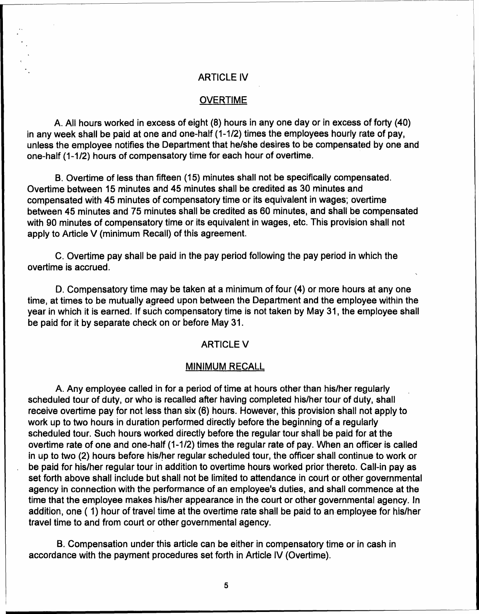## ARTICLE IV

#### **OVERTIME**

A. All hours worked in excess of eight (8) hours in anyone day or in excess of forty (40) in any week shall be paid at one and one-half (1-1/2) times the employees hourly rate of pay, unless the employee notifies the Department that he/she desires to be compensated by one and one-half (1-1/2) hours of compensatory time for each hour of overtime.

B. Overtime of less than fifteen (15) minutes shall not be specifically compensated. Overtime between 15 minutes and 45 minutes shall be credited as 30 minutes and compensated with 45 minutes of compensatory time or its equivalent in wages; overtime between 45 minutes and 75 minutes shall be credited as 60 minutes, and shall be compensated with 90 minutes of compensatory time or its equivalent in wages, etc. This provision shall not apply to Article V (minimum Recall) of this agreement.

C. Overtime pay shall be paid in the pay period following the pay period in which the overtime is accrued.

D. Compensatory time may be taken at a minimum of four (4) or more hours at anyone time, at times to be mutually agreed upon between the Department and the employee within the year in which it is earned. If such compensatory time is not taken by May 31, the ernployee shall be paid for it by separate check on or before May 31.

#### ARTICLE V

#### MINIMUM RECALL

A. Any employee called in for a period of time at hours other than his/her regularly scheduled tour of duty, or who is recalled after having completed his/her tour of duty, shall receive overtime pay for not less than six (6) hours. However, this provision shall not apply to work up to two hours in duration performed directly before the beginning of a regularly scheduled tour. Such hours worked directly before the regular tour shall be paid for at the overtime rate of one and one-half (1-1/2) times the regular rate of pay. When an officer is called in up to two (2) hours before his/her regular scheduled tour, the officer shall continue to work or be paid for his/her regular tour in addition to overtime hours worked prior thereto. Call-in pay as set forth above shall include but shall not be limited to attendance in court or other governmental agency in connection with the performance of an employee's duties, and shall commence at the time that the employee makes his/her appearance in the court or other governmental agency. In addition, one (1) hour of travel time at the overtime rate shall be paid to an employee for his/her travel time to and from court or other governmental agency.

B. Compensation under this article can be either in compensatory time or in cash in accordance with the payment procedures set forth in Article IV (Overtime).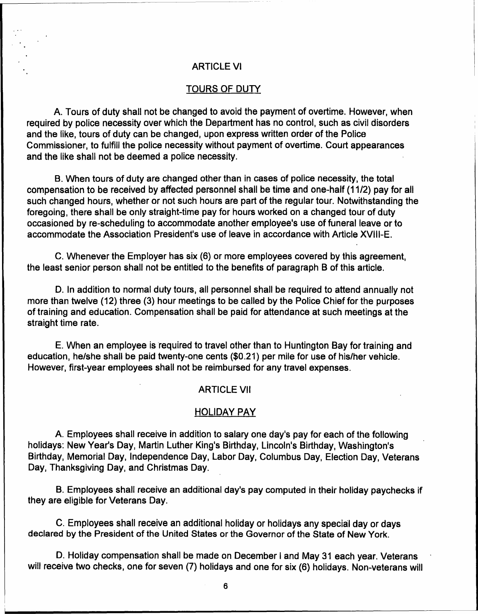## ARTICLE VI

### TOURS OF DUTY

A. Tours of duty shall not be changed to avoid the payment of overtime. However, when required by police necessity over which the Department has no control, such as civil disorders and the like, tours of duty can be changed, upon express written order of the Police Commissioner, to fulfill the police necessity without payment of overtime. Court appearances and the like shall not be deemed a police necessity.

B. When tours of duty are changed other than in cases of police necessity, the total compensation to be received by affected personnel shall be time and one-half (11/2) pay for all such changed hours, whether or not such hours are part of the regular tour. Notwithstanding the foregoing, there shall be only straight-time pay for hours worked on a changed tour of duty occasioned by re-scheduling to accommodate another employee's use of funeral leave or to accommodate the Association President's use of leave in accordance with Article XVIII-E.

C. Whenever the Employer has six (6) or more employees covered by this agreement, the least senior person shall not be entitled to the benefits of paragraph B of this article.

D. In addition to normal duty tours, all personnel shall be required to attend annually not more than twelve (12) three (3) hour meetings to be called by the Police Chief for the purposes of training and education. Compensation shall be paid for attendance at such meetings at the straight time rate.

E. When an employee is required to travel other than to Huntington Bay for training and education, he/she shall be paid twenty-one cents (\$0.21) per mile for use of his/her vehicle. However, first-year employees shall not be reimbursed for any travel expenses.

#### ARTICLE VII

#### HOLIDAY PAY

A. Employees shall receive in addition to salary one day's pay for each of the following holidays: New Year's Day, Martin Luther King's Birthday, Lincoln's Birthday, Washington's Birthday, Memorial Day, Independence Day, labor Day, Columbus Day, Election Day, Veterans Day, Thanksgiving Day, and Christmas Day.

B. Employees shall receive an additional day's pay computed in their holiday paychecks if they are eligible for Veterans Day.

C. Employees shall receive an additional holiday or holidays any special day or days declared by the President of the United States or the Governor of the State of New York.

D. Holiday compensation shall be made on December I and May 31 each year. Veterans will receive two checks, one for seven (7) holidays and one for six (6) holidays. Non-veterans will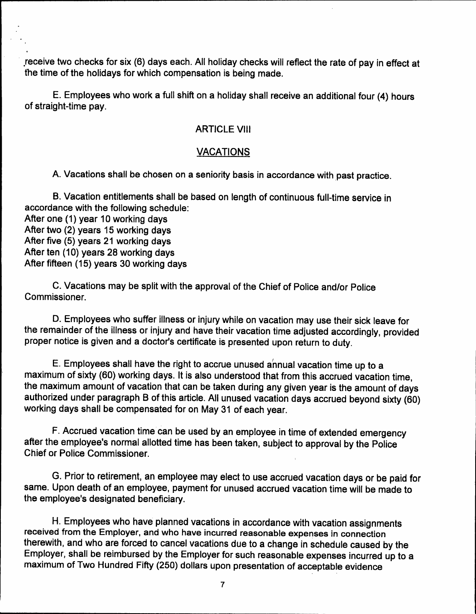.receive two checks for six (6) days each. All holiday checks will reflect the rate of pay in effect at the time of the holidays for which compensation is being made.

E. Employees who work a full shift on a holiday shall receive an additional four (4) hours of straight-time pay.

## ARTICLE VIII

## VACATIONS

A. Vacations shall be chosen on a seniority basis in accordance with past practice.

B. Vacation entitlements shall be based on length of continuous full-time service in accordance with the following schedule:

After one (1) year 10 working days After two (2) years 15 working days After five (5) years 21 working days After ten (10) years 28 working days After fifteen (15) years 30 working days

C. Vacations may be split with the approval of the Chief of Police and/or Police Commissioner.

D. Employees who suffer illness or injury while on vacation may use their sick leave for the remainder of the illness or injury and have their vacation time adjusted accordingly, provided proper notice is given and a doctor's certificate is presented upon return to duty.

E. Employees shall have the right to accrue unused annual vacation time up to a maximum of sixty (60) working days. It is also understood that from this accrued vacation time, the maximum amount of vacation that can be taken during any given year is the amount of days authorized under paragraph B of this article. All unused vacation days accrued beyond sixty (60) working days shall be compensated for on May 31 of each year.

F. Accrued vacation time can be used by an employee in time of extended emergency after the employee's normal allotted time has been taken, subject to approval by the Police Chief or Police Commissioner.

G. Prior to retirement, an employee may elect to use accrued vacation days or be paid for same. Upon death of an employee, payment for unused accrued vacation time will be made to the employee's designated beneficiary.

H. Employees who have planned vacations in accordance with vacation assignments received from the Employer, and who have incurred reasonable expenses in connection therewith, and who are forced to cancel vacations due to a change in schedule caused by the Employer, shall be reimbursed by the Employer for such reasonable expenses incurred up to a maximum of Two Hundred Fifty (250) dollars upon presentation of acceptable evidence epianie<br>.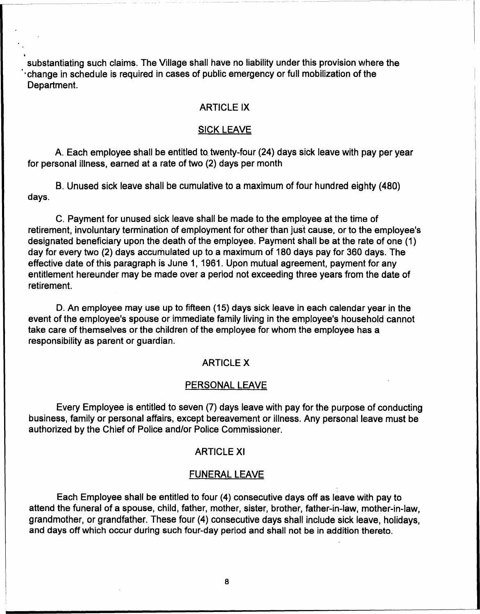substantiating such claims. The Village shall have no liability under this provision where the I change in schedule is required in cases of public emergency or full mobilization of the Department.

.

## ARTICLE IX

## SICK LEAVE

A. Each employee shall be entitled to twenty-four (24) days sick leave with pay per year for personal illness, earned at a rate of two (2) days per month

B. Unused sick leave shall be cumulative to a maximum of four hundred eighty (480) days.

C. Payment for unused sick leave shall be made to the employee at the time of retirement, involuntary termination of employment for other than just cause, or to the employee's designated beneficiary upon the death of the employee. Payment shall be at the rate of one (1) day for every two (2) days accumulated up to a maximum of 180 days pay for 360 days. The effective date of this paragraph is June 1, 1961. Upon mutual agreement, payment for any entitlement hereunder may be made over a period not exceeding three years from the date of retirement.

D. An employee may use up to fifteen (15) days sick leave in each calendar year in the event of the employee's spouse or immediate family living in the employee's household cannot take care of themselves or the children of the employee for whom the employee has a responsibility as parent or guardian.

## ARTICLE X

#### PERSONAL LEAVE

Every Employee is entitled to seven (7) days leave with pay for the purpose of conducting business, family or personal affairs, except bereavement or illness. Any personal leave must be authorized by the Chief of Police and/or Police Commissioner.

## ARTICLE XI

#### FUNERAL LEAVE

Each Employee shall be entitled to four (4) consecutive days off as leave with pay to attend the funeral of a spouse, child, father, mother, sister, brother, father-in-law, mother-in-law, grandmother, or grandfather. These four (4) consecutive days shall include sick leave, holidays, and days off which occur during such four-day period and shall not be in addition thereto.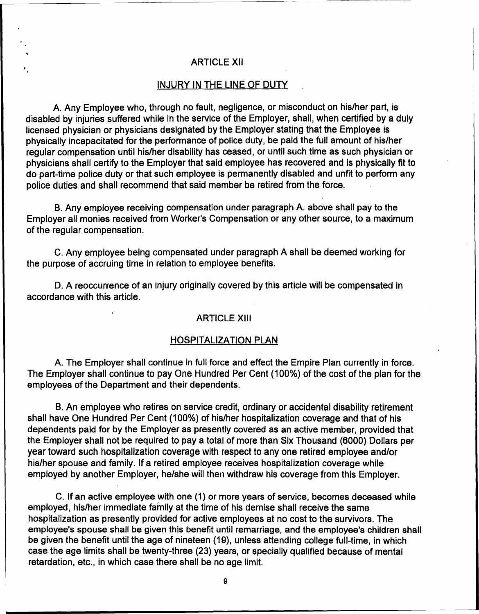#### ARTICLE XII

, ,

#### INJURY IN THE LINE OF DUTY

A. Any Employee who, through no fault. negligence, or misconduct on his/her part, is disabled by injuries suffered while in the service of the Employer, shall, when certified by a duly licensed physician or physicians designated by the Employer stating that the Employee is physically incapacitated for the performance of police duty, be paid the full amount of his/her regular compensation until his/her disability has ceased. or until such time as such physician or physicians shall certify to the Employer that said employee has recovered and is physically fit to do part-time police duty or that such employee is permanently disabled and unfit to perform any police duties and shall recommend that said member be retired from the force.

B. Any employee receiving compensation under paragraph A. above shall pay to the Employer all monies received from Worker's Compensation or any other source, to a maximum of the regular compensation.

C. Any employee being compensated under paragraph A shall be deemed working for the purpose of accruing time in relation to employee benefits.

D. A reoccurrence of an injury originally covered by this article will be compensated in accordance with this article.

#### ARTICLE XIII

#### HOSPITALIZATION PLAN

A. The Employer shall continue in full force and effect the Empire Plan currently in force. The Employer shall continue to pay One Hundred Per Cent (100%) of the cost of the plan for the employees of the Department and their dependents.

B. An employee who retires on service credit, ordinary or accidental disability retirement shall have One Hundred Per Cent (100%) of his/her hospitalization coverage and that of his dependents paid for by the Employer as presently covered as an active member, provided that the Employer shall not be required to pay a total of more than Six Thousand (6000) Dollars per year toward such hospitalization coverage with respect to anyone retired employee and/or his/her spouse and family. If a retired employee receives hospitalization coverage while employed by another Employer, he/she will then withdraw his coverage from this Employer.

C. If an active employee. with one (1) or more years of service. becomes deceased while employed, his/her immediate family at the time of his demise shall receive the same hospitalization as presently provided for active employees at no cost to the survivors. The employee's spouse shall be given this benefit until remarriage. and the employee's children shall be given the benefit until the age of nineteen (19), unless attending college full-time, in which case the age limits shall be twenty-three (23) years. or specially qualified because of mental retardation, etc.. in which case there shall be no age limit.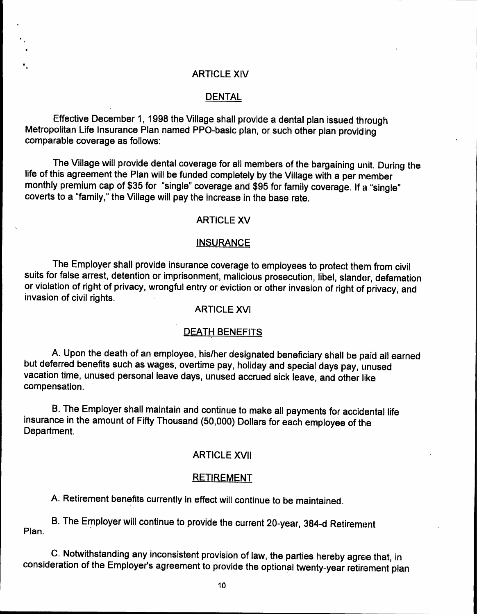#### ARTICLE XIV

## DENTAL

Effective December 1, 1998 the Village shall provide a dental plan issued through Metropolitan Life Insurance Plan named PPO-basic plan, or such other plan providing comparable coverage as follows:

. ,

The Village will provide dental coverage for all members of the bargaining unit. During the life of this agreement the Plan will be funded completely by the Village with a per member monthly premium cap of \$35 for "single" coverage and \$95 for family coverage. If a "single" coverts to a "family," the Village will pay the increase in the base rate.

### ARTICLE XV

#### **INSURANCE**

The Employer shall provide insurance coverage to employees to protect them from civil suits for false arrest, detention or imprisonment, malicious prosecution, libel, slander, defamation or violation of right of privacy, wrongful entry or eviction or other invasion of right of privacy, and invasion of civil rights.

## ARTICLE XVI

#### DEATH BENEFITS

A. Upon the death of an employee, his/her designated beneficiary shall be paid all earned but deferred benefits such as wages, overtime pay, holiday and special days pay, unused vacation time, unused personal leave days, unused accrued sick leave, and other like compensation. .

B. The Employer shall maintain and continue to make all payments for accidental life insurance in the amount of Fifty Thousand (50,000) Dollars for each employee of the Department.

## ARTICLE XVII

#### RETIREMENT

A. Retirement benefits currently in effect will continue to be maintained.

Plan. B. The Employer will continue to provide the current 20-year, 384-d Retirement

C. Notwithstanding any inconsistent provision of law, the parties hereby agree that, in consideration of the Employer's agreement to provide the optional twenty-year retirement plan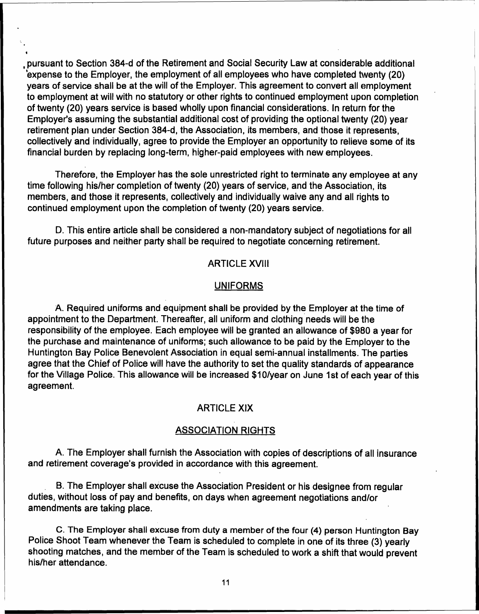pursuant to Section 384-d of the Retirement and Social Security Law at considerable additional  $\sim$  expense to the Employer, the employment of all employees who have completed twenty (20) years of service shall be at the will of the Employer. This agreement to convert all employment to employment at will with no statutory or other rights to continued employment upon completion of twenty (20) years service is based wholly upon financial considerations. In return for the Employer's assuming the substantial additional cost of providing the optional twenty (20) year retirement plan under Section 384-d, the Association, its members, and those it represents, collectively and individually, agree to provide the Employer an opportunity to relieve some of its financial burden by replacing long-term, higher-paid employees with new employees.

Therefore, the Employer has the sole unrestricted right to terminate any employee at any time following his/her completion of twenty (20) years of service, and the Association, its members, and those it represents, collectively and individually waive any and all rights to continued employment upon the completion of twenty (20) years service.

D. This entire article shall be considered a non-mandatory subject of negotiations for all future purposes and neither party shall be required to negotiate concerning retirement.

#### ARTICLE XVIII

#### UNIFORMS

A. Required uniforms and equipment shall be provided by the Employer at the time of appointment to the Department. Thereafter, all uniform and clothing needs will be the responsibility of the employee. Each employee will be granted an allowance of \$980 a year for the purchase and maintenance of uniforms; such allowance to be paid by the Employer to the Huntington Bay Police Benevolent Association in equal semi-annual installments. The parties agree that the Chief of Police will have the authority to set the quality standards of appearance for the Village Police. This allowance will be increased \$1D/year on June 1st of each year of this agreement.

## ARTICLE XIX

#### ASSOCIATION RIGHTS

A. The Employer shall furnish the Association with copies of descriptions of all insurance and retirement coverage's provided in accordance with this agreement.

B. The Employer shall excuse the Association President or his designee from regular duties, without loss of pay and benefits, on days when agreement negotiations and/or amendments are taking place.

C. The Employer shall excuse from duty a member of the four (4) person Huntington Bay Police Shoot Team whenever the Team is scheduled to complete in one of its three (3) yearly shooting matches, and the member of the Team is scheduled to work a shift that would prevent his/her attendance.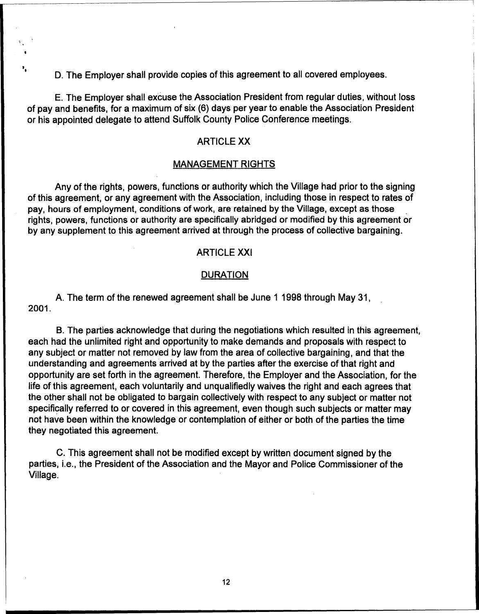D. The Employer shall provide copies of this agreement to all covered employees.

E. The Employer shall excuse the Association President from regular duties, without loss of pay and benefits, for a maximum of six (6) days per year to enable the Association President or his appointed delegate to attend Suffolk County Police Conference meetings.

## ARTICLE XX

#### MANAGEMENT RIGHTS

Any of the rights, powers. functions or authority which the Village had prior to the signing of this agreement, or any agreement with the Association, including those in respect to rates of pay, hours of employment, conditions of work, are retained by the Village, except as those rights, powers, functions or authority are specifically abridged or modified by this agreement or by any supplement to this agreement arrived at through the process of collective bargaining.

## ARTICLE XXI

## **DURATION**

A. The term of the renewed agreement shall be June 1 1998 through May 31. . 2001.

B. The parties acknowledge that during the negotiations which resulted in this agreement. each had the unlimited right and opportunity to make demands and proposals with respect to any subject or matter not removed by law from the area of collective bargaining, and that the understanding and agreements arrived at by the parties after the exercise of that right and opportunity are set forth in the agreement. Therefore. the Employer and the Association, for the life of this agreement, each voluntarily and unqualifiedly waives the right and each agrees that the other shall not be obligated to bargain collectively with respect to any subject or matter not specifically referred to or covered in this agreement, even though such subjects or matter may not have been within the knowledge or contemplation of either or both of the parties the time they negotiated this agreement.

C. This agreement shall not be modified except by written document signed by the parties, i.e., the President of the Association and the Mayor and Police Commissioner of the Village. .